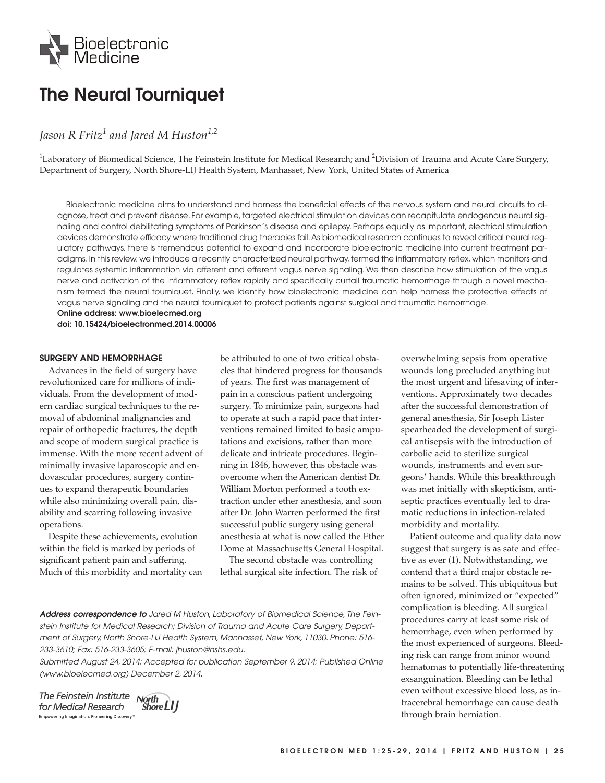

# **The Neural Tourniquet**

# *Jason R Fritz*<sup>1</sup> and *Jared M Huston*<sup>1,2</sup>

<sup>1</sup>Laboratory of Biomedical Science, The Feinstein Institute for Medical Research; and <sup>2</sup>Division of Trauma and Acute Care Surgery, Department of Surgery, North Shore-LIJ Health System, Manhasset, New York, United States of America

Bioelectronic medicine aims to understand and harness the beneficial effects of the nervous system and neural circuits to diagnose, treat and prevent disease. For example, targeted electrical stimulation devices can recapitulate endogenous neural signaling and control debilitating symptoms of Parkinson's disease and epilepsy. Perhaps equally as important, electrical stimulation devices demonstrate efficacy where traditional drug therapies fail. As biomedical research continues to reveal critical neural regulatory pathways, there is tremendous potential to expand and incorporate bioelectronic medicine into current treatment paradigms. In this review, we introduce a recently characterized neural pathway, termed the inflammatory reflex, which monitors and regulates systemic inflammation via afferent and efferent vagus nerve signaling. We then describe how stimulation of the vagus nerve and activation of the inflammatory reflex rapidly and specifically curtail traumatic hemorrhage through a novel mechanism termed the neural tourniquet. Finally, we identify how bioelectronic medicine can help harness the protective effects of vagus nerve signaling and the neural tourniquet to protect patients against surgical and traumatic hemorrhage.

**Online address: www.bioelecmed.org doi: 10.15424/bioelectronmed.2014.00006**

# **SURGERY AND HEMORRHAGE**

Advances in the field of surgery have revolutionized care for millions of individuals. From the development of modern cardiac surgical techniques to the removal of abdominal malignancies and repair of orthopedic fractures, the depth and scope of modern surgical practice is immense. With the more recent advent of minimally invasive laparoscopic and endovascular procedures, surgery continues to expand therapeutic boundaries while also minimizing overall pain, disability and scarring following invasive operations.

Despite these achievements, evolution within the field is marked by periods of significant patient pain and suffering. Much of this morbidity and mortality can be attributed to one of two critical obstacles that hindered progress for thousands of years. The first was management of pain in a conscious patient undergoing surgery. To minimize pain, surgeons had to operate at such a rapid pace that interventions remained limited to basic amputations and excisions, rather than more delicate and intricate procedures. Beginning in 1846, however, this obstacle was overcome when the American dentist Dr. William Morton performed a tooth extraction under ether anesthesia, and soon after Dr. John Warren performed the first successful public surgery using general anesthesia at what is now called the Ether Dome at Massachusetts General Hospital.

The second obstacle was controlling lethal surgical site infection. The risk of

**Address correspondence to** Jared M Huston, Laboratory of Biomedical Science, The Feinstein Institute for Medical Research; Division of Trauma and Acute Care Surgery, Department of Surgery, North Shore-LIJ Health System, Manhasset, New York, 11030. Phone: 516- 233-3610; Fax: 516-233-3605; E-mail: jhuston@nshs.edu.

Submitted August 24, 2014; Accepted for publication September 9, 2014; Published Online (www.bioelecmed.org) December 2, 2014.

The Feinstein Institute North for Medical Research Empowering Imagination. Pioneering Discovery.<sup>4</sup>



overwhelming sepsis from operative wounds long precluded anything but the most urgent and lifesaving of interventions. Approximately two decades after the successful demonstration of general anesthesia, Sir Joseph Lister spearheaded the development of surgical antisepsis with the introduction of carbolic acid to sterilize surgical wounds, instruments and even surgeons' hands. While this breakthrough was met initially with skepticism, antiseptic practices eventually led to dramatic reductions in infection-related morbidity and mortality.

Patient outcome and quality data now suggest that surgery is as safe and effective as ever (1). Notwithstanding, we contend that a third major obstacle remains to be solved. This ubiquitous but often ignored, minimized or "expected" complication is bleeding. All surgical procedures carry at least some risk of hemorrhage, even when performed by the most experienced of surgeons. Bleeding risk can range from minor wound hematomas to potentially life-threatening exsanguination. Bleeding can be lethal even without excessive blood loss, as intracerebral hemorrhage can cause death through brain herniation.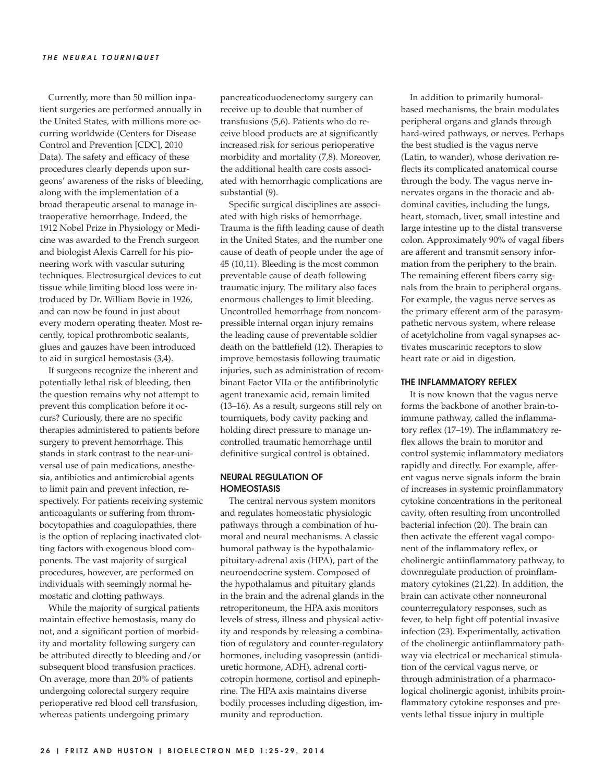Currently, more than 50 million inpatient surgeries are performed annually in the United States, with millions more occurring worldwide (Centers for Disease Control and Prevention [CDC], 2010 Data). The safety and efficacy of these procedures clearly depends upon surgeons' awareness of the risks of bleeding, along with the implementation of a broad therapeutic arsenal to manage intraoperative hemorrhage. Indeed, the 1912 Nobel Prize in Physiology or Medicine was awarded to the French surgeon and biologist Alexis Carrell for his pioneering work with vascular suturing techniques. Electrosurgical devices to cut tissue while limiting blood loss were introduced by Dr. William Bovie in 1926, and can now be found in just about every modern operating theater. Most recently, topical prothrombotic sealants, glues and gauzes have been introduced to aid in surgical hemostasis (3,4).

If surgeons recognize the inherent and potentially lethal risk of bleeding, then the question remains why not attempt to prevent this complication before it occurs? Curiously, there are no specific therapies administered to patients before surgery to prevent hemorrhage. This stands in stark contrast to the near-universal use of pain medications, anesthesia, antibiotics and antimicrobial agents to limit pain and prevent infection, respectively. For patients receiving systemic anticoagulants or suffering from thrombocytopathies and coagulopathies, there is the option of replacing inactivated clotting factors with exogenous blood components. The vast majority of surgical procedures, however, are performed on individuals with seemingly normal hemostatic and clotting pathways.

While the majority of surgical patients maintain effective hemostasis, many do not, and a significant portion of morbidity and mortality following surgery can be attributed directly to bleeding and/or subsequent blood transfusion practices. On average, more than 20% of patients undergoing colorectal surgery require perioperative red blood cell transfusion, whereas patients undergoing primary

pancreaticoduodenectomy surgery can receive up to double that number of transfusions (5,6). Patients who do receive blood products are at significantly increased risk for serious perioperative morbidity and mortality (7,8). Moreover, the additional health care costs associated with hemorrhagic complications are substantial (9).

Specific surgical disciplines are associated with high risks of hemorrhage. Trauma is the fifth leading cause of death in the United States, and the number one cause of death of people under the age of 45 (10,11). Bleeding is the most common preventable cause of death following traumatic injury. The military also faces enormous challenges to limit bleeding. Uncontrolled hemorrhage from noncompressible internal organ injury remains the leading cause of preventable soldier death on the battlefield (12). Therapies to improve hemostasis following traumatic injuries, such as administration of recombinant Factor VIIa or the antifibrinolytic agent tranexamic acid, remain limited (13–16). As a result, surgeons still rely on tourniquets, body cavity packing and holding direct pressure to manage uncontrolled traumatic hemorrhage until definitive surgical control is obtained.

# **NEURAL REGULATION OF HOMEOSTASIS**

The central nervous system monitors and regulates homeostatic physiologic pathways through a combination of humoral and neural mechanisms. A classic humoral pathway is the hypothalamicpituitary-adrenal axis (HPA), part of the neuroendocrine system. Composed of the hypothalamus and pituitary glands in the brain and the adrenal glands in the retroperitoneum, the HPA axis monitors levels of stress, illness and physical activity and responds by releasing a combination of regulatory and counter-regulatory hormones, including vasopressin (antidiuretic hormone, ADH), adrenal corticotropin hormone, cortisol and epinephrine. The HPA axis maintains diverse bodily processes including digestion, immunity and reproduction.

In addition to primarily humoralbased mechanisms, the brain modulates peripheral organs and glands through hard-wired pathways, or nerves. Perhaps the best studied is the vagus nerve (Latin, to wander), whose derivation reflects its complicated anatomical course through the body. The vagus nerve innervates organs in the thoracic and abdominal cavities, including the lungs, heart, stomach, liver, small intestine and large intestine up to the distal transverse colon. Approximately 90% of vagal fibers are afferent and transmit sensory information from the periphery to the brain. The remaining efferent fibers carry signals from the brain to peripheral organs. For example, the vagus nerve serves as the primary efferent arm of the parasympathetic nervous system, where release of acetylcholine from vagal synapses activates muscarinic receptors to slow heart rate or aid in digestion.

## **THE INFLAMMATORY REFLEX**

It is now known that the vagus nerve forms the backbone of another brain-toimmune pathway, called the inflammatory reflex (17–19). The inflammatory reflex allows the brain to monitor and control systemic inflammatory mediators rapidly and directly. For example, afferent vagus nerve signals inform the brain of increases in systemic proinflammatory cytokine concentrations in the peritoneal cavity, often resulting from uncontrolled bacterial infection (20). The brain can then activate the efferent vagal component of the inflammatory reflex, or cholinergic antiinflammatory pathway, to downregulate production of proinflammatory cytokines (21,22). In addition, the brain can activate other nonneuronal counterregulatory responses, such as fever, to help fight off potential invasive infection (23). Experimentally, activation of the cholinergic antiinflammatory pathway via electrical or mechanical stimulation of the cervical vagus nerve, or through administration of a pharmacological cholinergic agonist, inhibits proinflammatory cytokine responses and prevents lethal tissue injury in multiple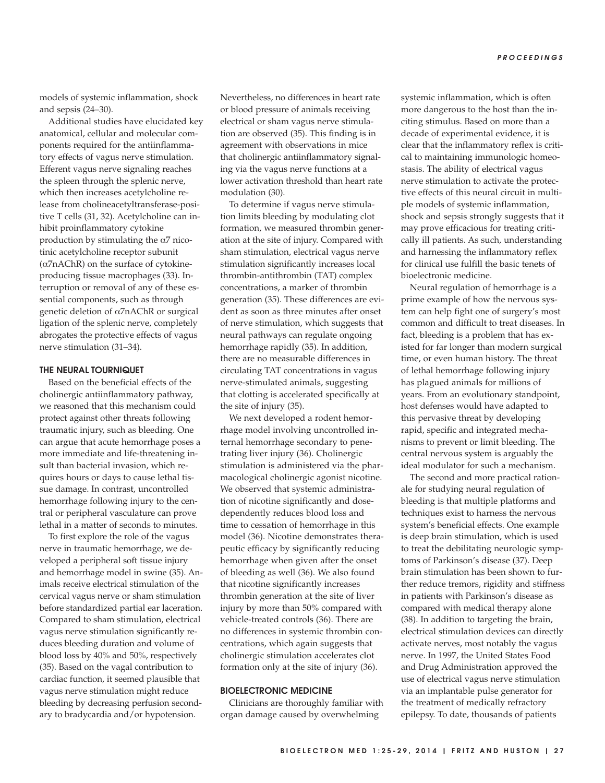models of systemic inflammation, shock and sepsis (24–30).

Additional studies have elucidated key anatomical, cellular and molecular components required for the antiinflammatory effects of vagus nerve stimulation. Efferent vagus nerve signaling reaches the spleen through the splenic nerve, which then increases acetylcholine release from cholineacetyltransferase-positive T cells (31, 32). Acetylcholine can inhibit proinflammatory cytokine production by stimulating the  $\alpha$ 7 nicotinic acetylcholine receptor subunit  $(\alpha$ 7nAChR) on the surface of cytokineproducing tissue macrophages (33). Interruption or removal of any of these essential components, such as through genetic deletion of α7nAChR or surgical ligation of the splenic nerve, completely abrogates the protective effects of vagus nerve stimulation (31–34).

#### **THE NEURAL TOURNIQUET**

Based on the beneficial effects of the cholinergic antiinflammatory pathway, we reasoned that this mechanism could protect against other threats following traumatic injury, such as bleeding. One can argue that acute hemorrhage poses a more immediate and life-threatening insult than bacterial invasion, which requires hours or days to cause lethal tissue damage. In contrast, uncontrolled hemorrhage following injury to the central or peripheral vasculature can prove lethal in a matter of seconds to minutes.

To first explore the role of the vagus nerve in traumatic hemorrhage, we developed a peripheral soft tissue injury and hemorrhage model in swine (35). Animals receive electrical stimulation of the cervical vagus nerve or sham stimulation before standardized partial ear laceration. Compared to sham stimulation, electrical vagus nerve stimulation significantly reduces bleeding duration and volume of blood loss by 40% and 50%, respectively (35). Based on the vagal contribution to cardiac function, it seemed plausible that vagus nerve stimulation might reduce bleeding by decreasing perfusion secondary to bradycardia and/or hypotension.

Nevertheless, no differences in heart rate or blood pressure of animals receiving electrical or sham vagus nerve stimulation are observed (35). This finding is in agreement with observations in mice that cholinergic antiinflammatory signaling via the vagus nerve functions at a lower activation threshold than heart rate modulation (30).

To determine if vagus nerve stimulation limits bleeding by modulating clot formation, we measured thrombin generation at the site of injury. Compared with sham stimulation, electrical vagus nerve stimulation significantly increases local thrombin-antithrombin (TAT) complex concentrations, a marker of thrombin generation (35). These differences are evident as soon as three minutes after onset of nerve stimulation, which suggests that neural pathways can regulate ongoing hemorrhage rapidly (35). In addition, there are no measurable differences in circulating TAT concentrations in vagus nerve-stimulated animals, suggesting that clotting is accelerated specifically at the site of injury (35).

We next developed a rodent hemorrhage model involving uncontrolled internal hemorrhage secondary to penetrating liver injury (36). Cholinergic stimulation is administered via the pharmacological cholinergic agonist nicotine. We observed that systemic administration of nicotine significantly and dosedependently reduces blood loss and time to cessation of hemorrhage in this model (36). Nicotine demonstrates therapeutic efficacy by significantly reducing hemorrhage when given after the onset of bleeding as well (36). We also found that nicotine significantly increases thrombin generation at the site of liver injury by more than 50% compared with vehicle-treated controls (36). There are no differences in systemic thrombin concentrations, which again suggests that cholinergic stimulation accelerates clot formation only at the site of injury (36).

# **BIOELECTRONIC MEDICINE**

Clinicians are thoroughly familiar with organ damage caused by overwhelming

systemic inflammation, which is often more dangerous to the host than the inciting stimulus. Based on more than a decade of experimental evidence, it is clear that the inflammatory reflex is critical to maintaining immunologic homeostasis. The ability of electrical vagus nerve stimulation to activate the protective effects of this neural circuit in multiple models of systemic inflammation, shock and sepsis strongly suggests that it may prove efficacious for treating critically ill patients. As such, understanding and harnessing the inflammatory reflex for clinical use fulfill the basic tenets of bioelectronic medicine.

Neural regulation of hemorrhage is a prime example of how the nervous system can help fight one of surgery's most common and difficult to treat diseases. In fact, bleeding is a problem that has existed for far longer than modern surgical time, or even human history. The threat of lethal hemorrhage following injury has plagued animals for millions of years. From an evolutionary standpoint, host defenses would have adapted to this pervasive threat by developing rapid, specific and integrated mechanisms to prevent or limit bleeding. The central nervous system is arguably the ideal modulator for such a mechanism.

The second and more practical rationale for studying neural regulation of bleeding is that multiple platforms and techniques exist to harness the nervous system's beneficial effects. One example is deep brain stimulation, which is used to treat the debilitating neurologic symptoms of Parkinson's disease (37). Deep brain stimulation has been shown to further reduce tremors, rigidity and stiffness in patients with Parkinson's disease as compared with medical therapy alone (38). In addition to targeting the brain, electrical stimulation devices can directly activate nerves, most notably the vagus nerve. In 1997, the United States Food and Drug Administration approved the use of electrical vagus nerve stimulation via an implantable pulse generator for the treatment of medically refractory epilepsy. To date, thousands of patients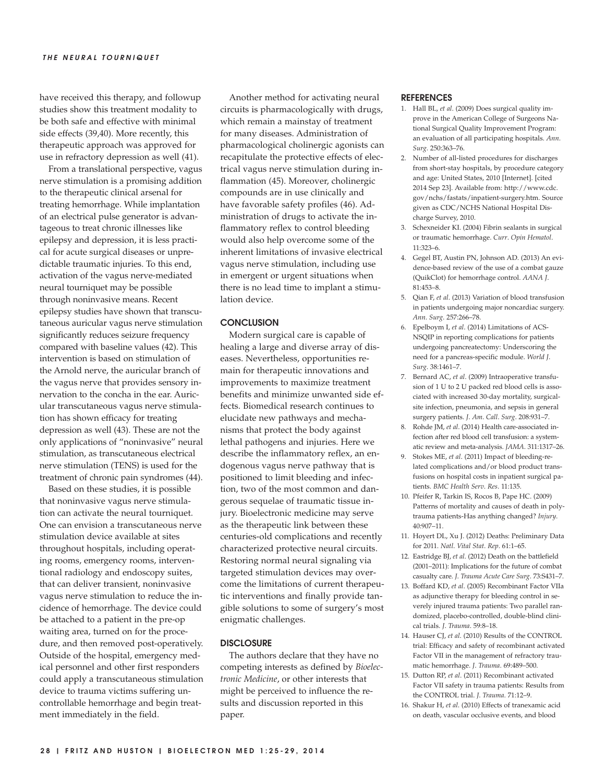have received this therapy, and followup studies show this treatment modality to be both safe and effective with minimal side effects (39,40). More recently, this therapeutic approach was approved for use in refractory depression as well (41).

From a translational perspective, vagus nerve stimulation is a promising addition to the therapeutic clinical arsenal for treating hemorrhage. While implantation of an electrical pulse generator is advantageous to treat chronic illnesses like epilepsy and depression, it is less practical for acute surgical diseases or unpredictable traumatic injuries. To this end, activation of the vagus nerve-mediated neural tourniquet may be possible through noninvasive means. Recent epilepsy studies have shown that transcutaneous auricular vagus nerve stimulation significantly reduces seizure frequency compared with baseline values (42). This intervention is based on stimulation of the Arnold nerve, the auricular branch of the vagus nerve that provides sensory innervation to the concha in the ear. Auricular transcutaneous vagus nerve stimulation has shown efficacy for treating depression as well (43). These are not the only applications of "noninvasive" neural stimulation, as transcutaneous electrical nerve stimulation (TENS) is used for the treatment of chronic pain syndromes (44).

Based on these studies, it is possible that noninvasive vagus nerve stimulation can activate the neural tourniquet. One can envision a transcutaneous nerve stimulation device available at sites throughout hospitals, including operating rooms, emergency rooms, interventional radiology and endoscopy suites, that can deliver transient, noninvasive vagus nerve stimulation to reduce the incidence of hemorrhage. The device could be attached to a patient in the pre-op waiting area, turned on for the procedure, and then removed post-operatively. Outside of the hospital, emergency medical personnel and other first responders could apply a transcutaneous stimulation device to trauma victims suffering uncontrollable hemorrhage and begin treatment immediately in the field.

Another method for activating neural circuits is pharmacologically with drugs, which remain a mainstay of treatment for many diseases. Administration of pharmacological cholinergic agonists can recapitulate the protective effects of electrical vagus nerve stimulation during inflammation (45). Moreover, cholinergic compounds are in use clinically and have favorable safety profiles (46). Administration of drugs to activate the inflammatory reflex to control bleeding would also help overcome some of the inherent limitations of invasive electrical vagus nerve stimulation, including use in emergent or urgent situations when there is no lead time to implant a stimulation device.

#### **CONCLUSION**

Modern surgical care is capable of healing a large and diverse array of diseases. Nevertheless, opportunities remain for therapeutic innovations and improvements to maximize treatment benefits and minimize unwanted side effects. Biomedical research continues to elucidate new pathways and mechanisms that protect the body against lethal pathogens and injuries. Here we describe the inflammatory reflex, an endogenous vagus nerve pathway that is positioned to limit bleeding and infection, two of the most common and dangerous sequelae of traumatic tissue injury. Bioelectronic medicine may serve as the therapeutic link between these centuries-old complications and recently characterized protective neural circuits. Restoring normal neural signaling via targeted stimulation devices may overcome the limitations of current therapeutic interventions and finally provide tangible solutions to some of surgery's most enigmatic challenges.

#### **DISCLOSURE**

The authors declare that they have no competing interests as defined by *Bioelectronic Medicine*, or other interests that might be perceived to influence the results and discussion reported in this paper.

## **REFERENCES**

- 1. Hall BL, *et al*. (2009) Does surgical quality improve in the American College of Surgeons National Surgical Quality Improvement Program: an evaluation of all participating hospitals. *Ann*. *Surg*. 250:363–76.
- 2. Number of all-listed procedures for discharges from short-stay hospitals, by procedure category and age: United States, 2010 [Internet]. [cited 2014 Sep 23]. Available from: http:// www.cdc. gov/nchs/fastats/inpatient-surgery. htm. Source given as CDC/NCHS National Hospital Discharge Survey, 2010.
- 3. Schexneider KI. (2004) Fibrin sealants in surgical or traumatic hemorrhage. *Curr*. *Opin Hematol*. 11:323–6.
- 4. Gegel BT, Austin PN, Johnson AD. (2013) An evidence-based review of the use of a combat gauze (QuikClot) for hemorrhage control. *AANA J*. 81:453–8.
- 5. Qian F, *et al*. (2013) Variation of blood transfusion in patients undergoing major noncardiac surgery. *Ann*. *Surg*. 257:266–78.
- 6. Epelboym I, *et al*. (2014) Limitations of ACS-NSQIP in reporting complications for patients undergoing pancreatectomy: Underscoring the need for a pancreas-specific module. *World J*. *Surg*. 38:1461–7.
- 7. Bernard AC, *et al*. (2009) Intraoperative transfusion of 1 U to 2 U packed red blood cells is associated with increased 30-day mortality, surgicalsite infection, pneumonia, and sepsis in general surgery patients. *J*. *Am*. *Call*. *Surg*. 208:931–7.
- 8. Rohde JM, *et al*. (2014) Health care-associated infection after red blood cell transfusion: a systematic review and meta-analysis. *JAMA*. 311:1317–26.
- 9. Stokes ME, *et al*. (2011) Impact of bleeding-related complications and/or blood product transfusions on hospital costs in inpatient surgical patients. *BMC Health Serv*. *Res*. 11:135.
- 10. Pfeifer R, Tarkin IS, Rocos B, Pape HC. (2009) Patterns of mortality and causes of death in polytrauma patients-Has anything changed? *Injury*. 40:907–11.
- 11. Hoyert DL, Xu J. (2012) Deaths: Preliminary Data for 2011. *Natl*. *Vital Stat*. *Rep*. 61:1–65.
- 12. Eastridge BJ, *et al*. (2012) Death on the battlefield (2001–2011): Implications for the future of combat casualty care. *J*. *Trauma Acute Care Surg*. 73:S431–7.
- 13. Boffard KD, *et al*. (2005) Recombinant Factor VIIa as adjunctive therapy for bleeding control in severely injured trauma patients: Two parallel randomized, placebo-controlled, double-blind clinical trials. *J*. *Trauma*. 59:8–18.
- 14. Hauser CJ, *et al*. (2010) Results of the CONTROL trial: Efficacy and safety of recombinant activated Factor VII in the management of refractory traumatic hemorrhage. *J*. *Trauma*. 69:489–500.
- 15. Dutton RP, *et al*. (2011) Recombinant activated Factor VII safety in trauma patients: Results from the CONTROL trial. *J*. *Trauma*. 71:12–9.
- 16. Shakur H, *et al*. (2010) Effects of tranexamic acid on death, vascular occlusive events, and blood